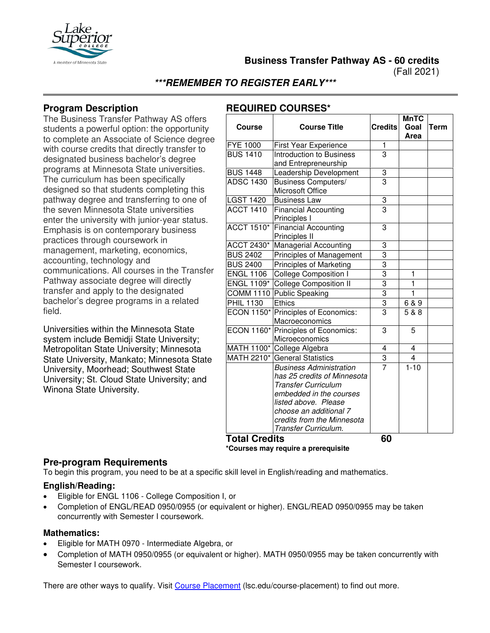

**Business Transfer Pathway AS - 60 credits**

(Fall 2021)

**\*\*\*REMEMBER TO REGISTER EARLY\*\*\***

## **Program Description**

The Business Transfer Pathway AS offers students a powerful option: the opportunity to complete an Associate of Science degree with course credits that directly transfer to designated business bachelor's degree programs at Minnesota State universities. The curriculum has been specifically designed so that students completing this pathway degree and transferring to one of the seven Minnesota State universities enter the university with junior-year status. Emphasis is on contemporary business practices through coursework in management, marketing, economics, accounting, technology and communications. All courses in the Transfer Pathway associate degree will directly transfer and apply to the designated bachelor's degree programs in a related field.

Universities within the Minnesota State system include Bemidji State University; Metropolitan State University; Minnesota State University, Mankato; Minnesota State University, Moorhead; Southwest State University; St. Cloud State University; and Winona State University.

# **REQUIRED COURSES\***

| Goal<br><b>Credits</b><br><b>Course Title</b><br>Term<br><b>Course</b><br><b>Area</b><br><b>FYE 1000</b><br><b>First Year Experience</b><br>1<br><b>BUS 1410</b><br>3<br>Introduction to Business<br>and Entrepreneurship<br><b>BUS 1448</b><br>3<br>Leadership Development<br><b>ADSC 1430</b><br>3<br><b>Business Computers/</b><br>Microsoft Office<br><b>LGST 1420</b><br>3<br><b>Business Law</b><br>$\overline{3}$<br><b>ACCT 1410</b><br><b>Financial Accounting</b><br>Principles I<br><b>ACCT 1510*</b><br><b>Financial Accounting</b><br>3<br>Principles II<br>ACCT 2430*<br><b>Managerial Accounting</b><br>3<br>3<br><b>BUS 2402</b><br>Principles of Management<br>3<br><b>BUS 2400</b><br><b>Principles of Marketing</b><br>$\overline{3}$<br><b>ENGL 1106</b><br><b>College Composition I</b><br>1<br>$\overline{3}$<br>$\mathbf{1}$<br>ENGL 1109*<br>College Composition II<br>$\overline{3}$<br>Public Speaking<br>$\mathbf{1}$<br><b>COMM 1110</b><br>$\frac{1}{3}$<br><b>PHIL 1130</b><br><b>Ethics</b><br>6 & 9<br>$\overline{3}$<br><b>ECON 1150*</b><br>Principles of Economics:<br>5 & 8<br>Macroeconomics<br>ECON 1160* Principles of Economics:<br>3<br>5<br>Microeconomics<br>MATH 1100* College Algebra<br>4<br>4<br>$\overline{3}$<br>$\overline{4}$<br>MATH 2210* General Statistics<br>$\overline{7}$<br>$1 - 10$<br><b>Business Administration</b><br>has 25 credits of Minnesota<br><b>Transfer Curriculum</b><br>embedded in the courses<br>listed above. Please<br>choose an additional 7<br>credits from the Minnesota<br>Transfer Curriculum. |  | <b>MnTC</b> |  |
|-----------------------------------------------------------------------------------------------------------------------------------------------------------------------------------------------------------------------------------------------------------------------------------------------------------------------------------------------------------------------------------------------------------------------------------------------------------------------------------------------------------------------------------------------------------------------------------------------------------------------------------------------------------------------------------------------------------------------------------------------------------------------------------------------------------------------------------------------------------------------------------------------------------------------------------------------------------------------------------------------------------------------------------------------------------------------------------------------------------------------------------------------------------------------------------------------------------------------------------------------------------------------------------------------------------------------------------------------------------------------------------------------------------------------------------------------------------------------------------------------------------------------------------------------------------------------------------|--|-------------|--|
|                                                                                                                                                                                                                                                                                                                                                                                                                                                                                                                                                                                                                                                                                                                                                                                                                                                                                                                                                                                                                                                                                                                                                                                                                                                                                                                                                                                                                                                                                                                                                                                   |  |             |  |
|                                                                                                                                                                                                                                                                                                                                                                                                                                                                                                                                                                                                                                                                                                                                                                                                                                                                                                                                                                                                                                                                                                                                                                                                                                                                                                                                                                                                                                                                                                                                                                                   |  |             |  |
|                                                                                                                                                                                                                                                                                                                                                                                                                                                                                                                                                                                                                                                                                                                                                                                                                                                                                                                                                                                                                                                                                                                                                                                                                                                                                                                                                                                                                                                                                                                                                                                   |  |             |  |
|                                                                                                                                                                                                                                                                                                                                                                                                                                                                                                                                                                                                                                                                                                                                                                                                                                                                                                                                                                                                                                                                                                                                                                                                                                                                                                                                                                                                                                                                                                                                                                                   |  |             |  |
|                                                                                                                                                                                                                                                                                                                                                                                                                                                                                                                                                                                                                                                                                                                                                                                                                                                                                                                                                                                                                                                                                                                                                                                                                                                                                                                                                                                                                                                                                                                                                                                   |  |             |  |
|                                                                                                                                                                                                                                                                                                                                                                                                                                                                                                                                                                                                                                                                                                                                                                                                                                                                                                                                                                                                                                                                                                                                                                                                                                                                                                                                                                                                                                                                                                                                                                                   |  |             |  |
|                                                                                                                                                                                                                                                                                                                                                                                                                                                                                                                                                                                                                                                                                                                                                                                                                                                                                                                                                                                                                                                                                                                                                                                                                                                                                                                                                                                                                                                                                                                                                                                   |  |             |  |
|                                                                                                                                                                                                                                                                                                                                                                                                                                                                                                                                                                                                                                                                                                                                                                                                                                                                                                                                                                                                                                                                                                                                                                                                                                                                                                                                                                                                                                                                                                                                                                                   |  |             |  |
|                                                                                                                                                                                                                                                                                                                                                                                                                                                                                                                                                                                                                                                                                                                                                                                                                                                                                                                                                                                                                                                                                                                                                                                                                                                                                                                                                                                                                                                                                                                                                                                   |  |             |  |
|                                                                                                                                                                                                                                                                                                                                                                                                                                                                                                                                                                                                                                                                                                                                                                                                                                                                                                                                                                                                                                                                                                                                                                                                                                                                                                                                                                                                                                                                                                                                                                                   |  |             |  |
|                                                                                                                                                                                                                                                                                                                                                                                                                                                                                                                                                                                                                                                                                                                                                                                                                                                                                                                                                                                                                                                                                                                                                                                                                                                                                                                                                                                                                                                                                                                                                                                   |  |             |  |
|                                                                                                                                                                                                                                                                                                                                                                                                                                                                                                                                                                                                                                                                                                                                                                                                                                                                                                                                                                                                                                                                                                                                                                                                                                                                                                                                                                                                                                                                                                                                                                                   |  |             |  |
|                                                                                                                                                                                                                                                                                                                                                                                                                                                                                                                                                                                                                                                                                                                                                                                                                                                                                                                                                                                                                                                                                                                                                                                                                                                                                                                                                                                                                                                                                                                                                                                   |  |             |  |
|                                                                                                                                                                                                                                                                                                                                                                                                                                                                                                                                                                                                                                                                                                                                                                                                                                                                                                                                                                                                                                                                                                                                                                                                                                                                                                                                                                                                                                                                                                                                                                                   |  |             |  |
|                                                                                                                                                                                                                                                                                                                                                                                                                                                                                                                                                                                                                                                                                                                                                                                                                                                                                                                                                                                                                                                                                                                                                                                                                                                                                                                                                                                                                                                                                                                                                                                   |  |             |  |
|                                                                                                                                                                                                                                                                                                                                                                                                                                                                                                                                                                                                                                                                                                                                                                                                                                                                                                                                                                                                                                                                                                                                                                                                                                                                                                                                                                                                                                                                                                                                                                                   |  |             |  |
|                                                                                                                                                                                                                                                                                                                                                                                                                                                                                                                                                                                                                                                                                                                                                                                                                                                                                                                                                                                                                                                                                                                                                                                                                                                                                                                                                                                                                                                                                                                                                                                   |  |             |  |
|                                                                                                                                                                                                                                                                                                                                                                                                                                                                                                                                                                                                                                                                                                                                                                                                                                                                                                                                                                                                                                                                                                                                                                                                                                                                                                                                                                                                                                                                                                                                                                                   |  |             |  |
|                                                                                                                                                                                                                                                                                                                                                                                                                                                                                                                                                                                                                                                                                                                                                                                                                                                                                                                                                                                                                                                                                                                                                                                                                                                                                                                                                                                                                                                                                                                                                                                   |  |             |  |
|                                                                                                                                                                                                                                                                                                                                                                                                                                                                                                                                                                                                                                                                                                                                                                                                                                                                                                                                                                                                                                                                                                                                                                                                                                                                                                                                                                                                                                                                                                                                                                                   |  |             |  |
|                                                                                                                                                                                                                                                                                                                                                                                                                                                                                                                                                                                                                                                                                                                                                                                                                                                                                                                                                                                                                                                                                                                                                                                                                                                                                                                                                                                                                                                                                                                                                                                   |  |             |  |
|                                                                                                                                                                                                                                                                                                                                                                                                                                                                                                                                                                                                                                                                                                                                                                                                                                                                                                                                                                                                                                                                                                                                                                                                                                                                                                                                                                                                                                                                                                                                                                                   |  |             |  |
|                                                                                                                                                                                                                                                                                                                                                                                                                                                                                                                                                                                                                                                                                                                                                                                                                                                                                                                                                                                                                                                                                                                                                                                                                                                                                                                                                                                                                                                                                                                                                                                   |  |             |  |
|                                                                                                                                                                                                                                                                                                                                                                                                                                                                                                                                                                                                                                                                                                                                                                                                                                                                                                                                                                                                                                                                                                                                                                                                                                                                                                                                                                                                                                                                                                                                                                                   |  |             |  |
|                                                                                                                                                                                                                                                                                                                                                                                                                                                                                                                                                                                                                                                                                                                                                                                                                                                                                                                                                                                                                                                                                                                                                                                                                                                                                                                                                                                                                                                                                                                                                                                   |  |             |  |
|                                                                                                                                                                                                                                                                                                                                                                                                                                                                                                                                                                                                                                                                                                                                                                                                                                                                                                                                                                                                                                                                                                                                                                                                                                                                                                                                                                                                                                                                                                                                                                                   |  |             |  |
|                                                                                                                                                                                                                                                                                                                                                                                                                                                                                                                                                                                                                                                                                                                                                                                                                                                                                                                                                                                                                                                                                                                                                                                                                                                                                                                                                                                                                                                                                                                                                                                   |  |             |  |
|                                                                                                                                                                                                                                                                                                                                                                                                                                                                                                                                                                                                                                                                                                                                                                                                                                                                                                                                                                                                                                                                                                                                                                                                                                                                                                                                                                                                                                                                                                                                                                                   |  |             |  |
| Tatal Cradita<br>GΛ                                                                                                                                                                                                                                                                                                                                                                                                                                                                                                                                                                                                                                                                                                                                                                                                                                                                                                                                                                                                                                                                                                                                                                                                                                                                                                                                                                                                                                                                                                                                                               |  |             |  |

**Total Credits 60 \*Courses may require a prerequisite**

#### **Pre-program Requirements**

To begin this program, you need to be at a specific skill level in English/reading and mathematics.

#### **English/Reading:**

- Eligible for ENGL 1106 College Composition I, or
- Completion of ENGL/READ 0950/0955 (or equivalent or higher). ENGL/READ 0950/0955 may be taken concurrently with Semester I coursework.

#### **Mathematics:**

- Eligible for MATH 0970 Intermediate Algebra, or
- Completion of MATH 0950/0955 (or equivalent or higher). MATH 0950/0955 may be taken concurrently with Semester I coursework.

There are other ways to qualify. Visit [Course Placement](https://www.lsc.edu/course-placement/) (lsc.edu/course-placement) to find out more.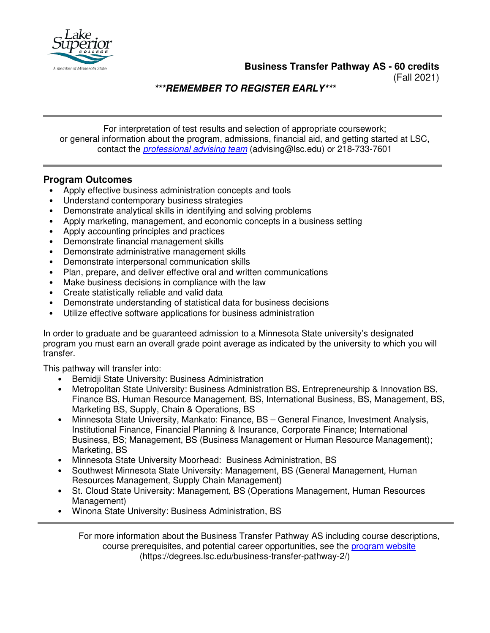

**Business Transfer Pathway AS - 60 credits**

(Fall 2021)

**\*\*\*REMEMBER TO REGISTER EARLY\*\*\***

For interpretation of test results and selection of appropriate coursework; or general information about the program, admissions, financial aid, and getting started at LSC, contact the *[professional advising team](mailto:advising@lsc.edu)* (advising@lsc.edu) or 218-733-7601

## **Program Outcomes**

- Apply effective business administration concepts and tools
- Understand contemporary business strategies
- Demonstrate analytical skills in identifying and solving problems
- Apply marketing, management, and economic concepts in a business setting
- Apply accounting principles and practices
- Demonstrate financial management skills
- Demonstrate administrative management skills
- Demonstrate interpersonal communication skills
- Plan, prepare, and deliver effective oral and written communications
- Make business decisions in compliance with the law
- Create statistically reliable and valid data
- Demonstrate understanding of statistical data for business decisions
- Utilize effective software applications for business administration

In order to graduate and be guaranteed admission to a Minnesota State university's designated program you must earn an overall grade point average as indicated by the university to which you will transfer.

This pathway will transfer into:

- Bemidji State University: Business Administration
- Metropolitan State University: Business Administration BS, Entrepreneurship & Innovation BS, Finance BS, Human Resource Management, BS, International Business, BS, Management, BS, Marketing BS, Supply, Chain & Operations, BS
- Minnesota State University, Mankato: Finance, BS General Finance, Investment Analysis, Institutional Finance, Financial Planning & Insurance, Corporate Finance; International Business, BS; Management, BS (Business Management or Human Resource Management); Marketing, BS
- Minnesota State University Moorhead: Business Administration, BS
- Southwest Minnesota State University: Management, BS (General Management, Human Resources Management, Supply Chain Management)
- St. Cloud State University: Management, BS (Operations Management, Human Resources Management)
- Winona State University: Business Administration, BS

For more information about the Business Transfer Pathway AS including course descriptions, course prerequisites, and potential career opportunities, see the [program website](https://degrees.lsc.edu/business-transfer-pathway-2/) (https://degrees.lsc.edu/business-transfer-pathway-2/)